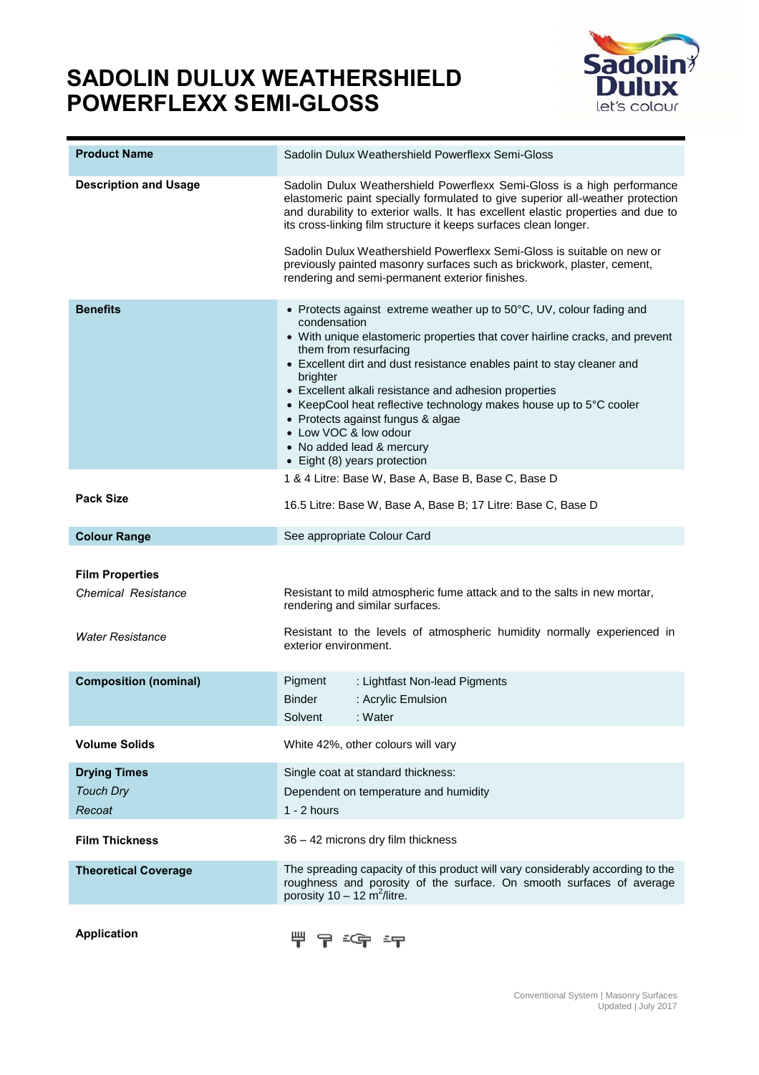## **SADOLIN DULUX WEATHERSHIELD POWERFLEXX SEMI-GLOSS**



| <b>Product Name</b>                                  | Sadolin Dulux Weathershield Powerflexx Semi-Gloss                                                                                                                                                                                                                                                                                                                                                                                                                                                                                             |  |  |
|------------------------------------------------------|-----------------------------------------------------------------------------------------------------------------------------------------------------------------------------------------------------------------------------------------------------------------------------------------------------------------------------------------------------------------------------------------------------------------------------------------------------------------------------------------------------------------------------------------------|--|--|
| <b>Description and Usage</b>                         | Sadolin Dulux Weathershield Powerflexx Semi-Gloss is a high performance<br>elastomeric paint specially formulated to give superior all-weather protection<br>and durability to exterior walls. It has excellent elastic properties and due to<br>its cross-linking film structure it keeps surfaces clean longer.                                                                                                                                                                                                                             |  |  |
|                                                      | Sadolin Dulux Weathershield Powerflexx Semi-Gloss is suitable on new or<br>previously painted masonry surfaces such as brickwork, plaster, cement,<br>rendering and semi-permanent exterior finishes.                                                                                                                                                                                                                                                                                                                                         |  |  |
| <b>Benefits</b>                                      | • Protects against extreme weather up to 50°C, UV, colour fading and<br>condensation<br>• With unique elastomeric properties that cover hairline cracks, and prevent<br>them from resurfacing<br>• Excellent dirt and dust resistance enables paint to stay cleaner and<br>brighter<br>• Excellent alkali resistance and adhesion properties<br>• KeepCool heat reflective technology makes house up to 5°C cooler<br>• Protects against fungus & algae<br>• Low VOC & low odour<br>• No added lead & mercury<br>• Eight (8) years protection |  |  |
|                                                      | 1 & 4 Litre: Base W, Base A, Base B, Base C, Base D                                                                                                                                                                                                                                                                                                                                                                                                                                                                                           |  |  |
| <b>Pack Size</b>                                     | 16.5 Litre: Base W, Base A, Base B; 17 Litre: Base C, Base D                                                                                                                                                                                                                                                                                                                                                                                                                                                                                  |  |  |
| <b>Colour Range</b>                                  | See appropriate Colour Card                                                                                                                                                                                                                                                                                                                                                                                                                                                                                                                   |  |  |
| <b>Film Properties</b><br><b>Chemical Resistance</b> | Resistant to mild atmospheric fume attack and to the salts in new mortar,<br>rendering and similar surfaces.                                                                                                                                                                                                                                                                                                                                                                                                                                  |  |  |
| <b>Water Resistance</b>                              | Resistant to the levels of atmospheric humidity normally experienced in<br>exterior environment.                                                                                                                                                                                                                                                                                                                                                                                                                                              |  |  |
| <b>Composition (nominal)</b>                         | Pigment<br>: Lightfast Non-lead Pigments<br>: Acrylic Emulsion<br>Binder<br>Solvent<br>: Water                                                                                                                                                                                                                                                                                                                                                                                                                                                |  |  |
| <b>Volume Solids</b>                                 | White 42%, other colours will vary                                                                                                                                                                                                                                                                                                                                                                                                                                                                                                            |  |  |
| <b>Drying Times</b>                                  | Single coat at standard thickness:                                                                                                                                                                                                                                                                                                                                                                                                                                                                                                            |  |  |
| <b>Touch Dry</b>                                     | Dependent on temperature and humidity                                                                                                                                                                                                                                                                                                                                                                                                                                                                                                         |  |  |
| Recoat                                               | $1 - 2$ hours                                                                                                                                                                                                                                                                                                                                                                                                                                                                                                                                 |  |  |
| <b>Film Thickness</b>                                | 36 - 42 microns dry film thickness                                                                                                                                                                                                                                                                                                                                                                                                                                                                                                            |  |  |
| <b>Theoretical Coverage</b>                          | The spreading capacity of this product will vary considerably according to the<br>roughness and porosity of the surface. On smooth surfaces of average<br>porosity $10 - 12$ m <sup>2</sup> /litre.                                                                                                                                                                                                                                                                                                                                           |  |  |

**Application**